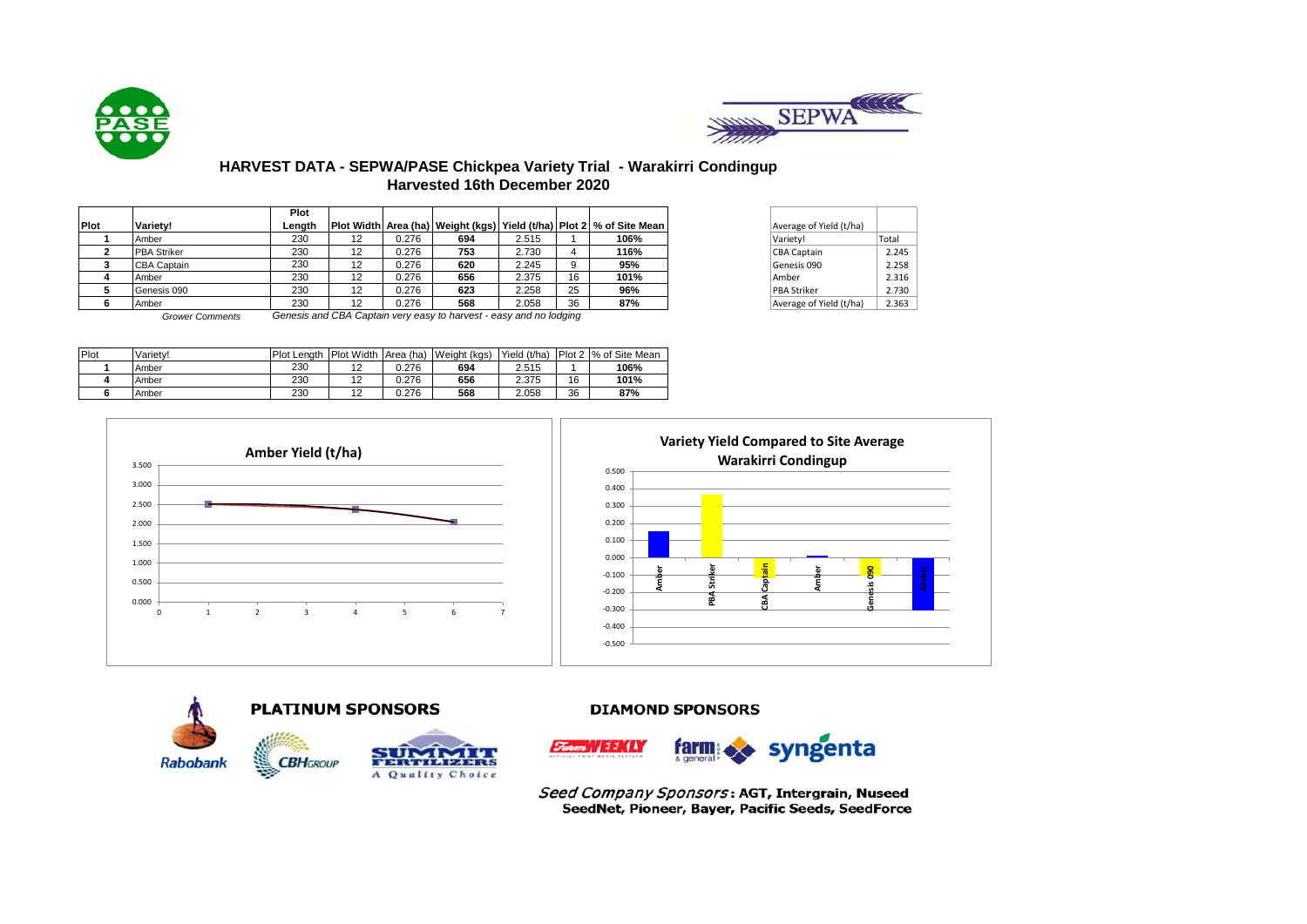



# **HARVEST DATA - SEPWA/PASE Chickpea Variety Trial - Warakirri Condingup Harvested 16th December 2020**

|             |                    | Plot   |    |       |     |       |    |                                                                               |                         |       |
|-------------|--------------------|--------|----|-------|-----|-------|----|-------------------------------------------------------------------------------|-------------------------|-------|
| <b>Plot</b> | Variety!           | Lenath |    |       |     |       |    | Plot Width  Area (ha)   Weight (kgs)   Yield (t/ha)   Plot 2   % of Site Mean | Average of Yield (t/ha) |       |
|             | Amber              | 230    | 12 | 0.276 | 694 | 2.515 |    | 106%                                                                          | Variety!                | Total |
|             | <b>PBA Striker</b> | 230    |    | 0.276 | 753 | 2.730 |    | 116%                                                                          | CBA Captain             | 2.245 |
|             | <b>CBA Captain</b> | 230    |    | 0.276 | 620 | 2.245 |    | 95%                                                                           | Genesis 090             | 2.258 |
|             | Amber              | 230    |    | 0.276 | 656 | 2.375 | 16 | 101%                                                                          | Amber                   | 2.316 |
|             | Genesis 090        | 230    |    | 0.276 | 623 | 2.258 | 25 | 96%                                                                           | <b>PBA Striker</b>      | 2.730 |
|             | Amber              | 230    |    | 0.276 | 568 | 2.058 | 36 | 87%                                                                           | Average of Yield (t/ha) | 2.363 |
|             |                    |        |    |       |     |       |    |                                                                               |                         |       |

| Average of Yield (t/ha) |       |
|-------------------------|-------|
| Variety!                | Total |
| <b>CBA Captain</b>      | 2.245 |
| Genesis 090             | 2.258 |
| Amber                   | 2.316 |
| <b>PBA Striker</b>      | 2.730 |
| Average of Yield (t/ha) | 2.363 |

*Grower Comments Genesis and CBA Captain very easy to harvest - easy and no lodging*

| Plot | Varietv! | <b>Plot Lenath</b> | <b>Plot Width</b> | Area (ha) | Weight (kgs) | Yield (t/ha) |    | Plot 2 % of Site Mean |
|------|----------|--------------------|-------------------|-----------|--------------|--------------|----|-----------------------|
|      | Amber    | 230                | 12<br>$\epsilon$  | 0.276     | 694          | 2.515        |    | 106%                  |
|      | Amber    | 230                | $\sim$<br>. .     | 0.276     | 656          | 2.375        | 16 | 101%                  |
|      | Amber    | 230                | 1つ<br>$\epsilon$  | 0.276     | 568          | 2.058        | 36 | 87%                   |







**DIAMOND SPONSORS** 



Seed Company Sponsors: AGT, Intergrain, Nuseed SeedNet, Pioneer, Bayer, Pacific Seeds, SeedForce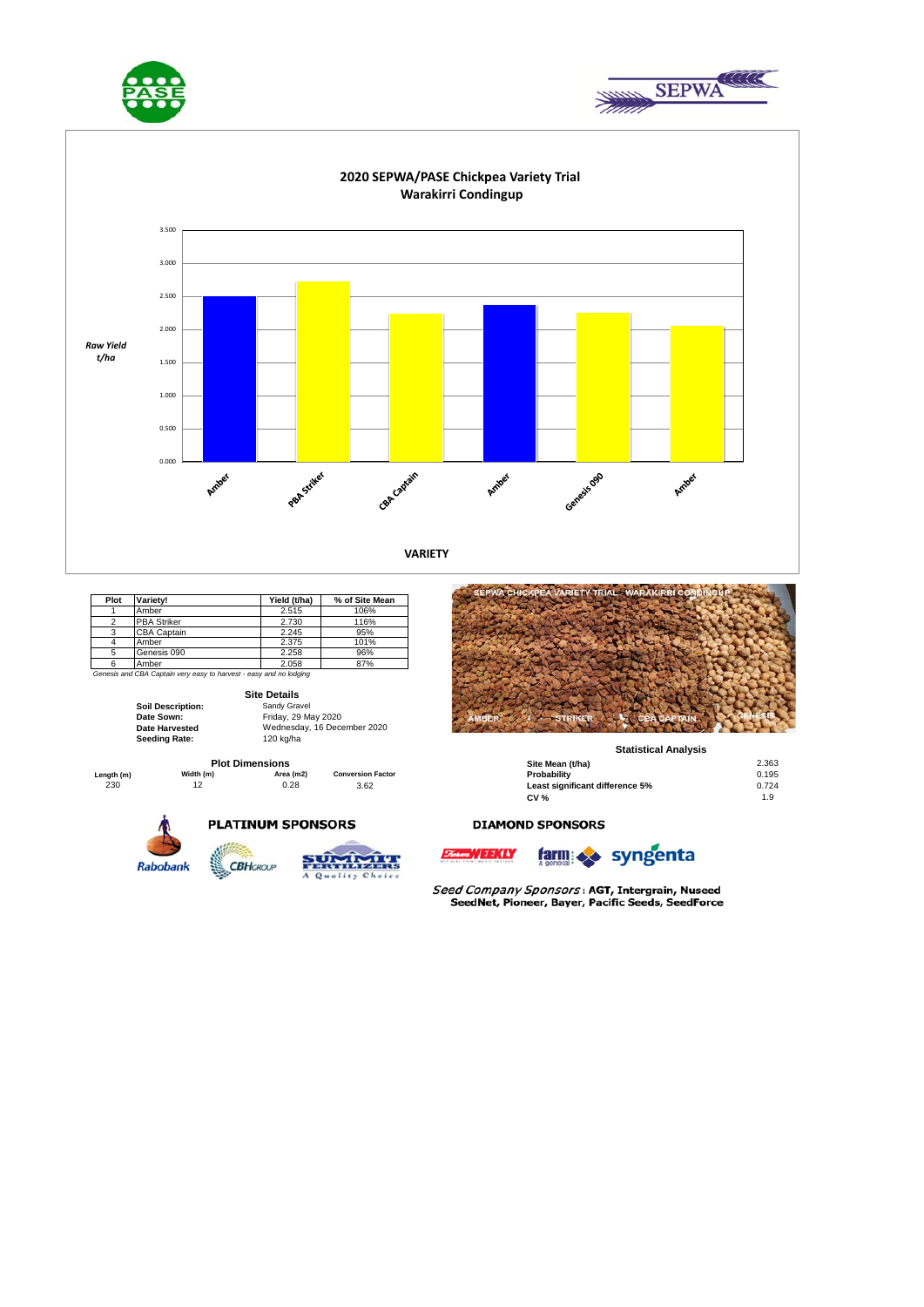





| Plot | Variety!           | Yield (t/ha) | % of Site Mean |
|------|--------------------|--------------|----------------|
|      | Amber              | 2.515        | 106%           |
|      | <b>PBA Striker</b> | 2.730        | 116%           |
|      | <b>CBA Captain</b> | 2.245        | 95%            |
|      | Amber              | 2.375        | 101%           |
|      | Genesis 090        | 2.258        | 96%            |
|      | Amber              | 2.058        | 87%            |

*Genesis and CBA Captain very easy to harvest - easy and no lodging*

**Site Details**

**PLATINUM SPONSORS** 

| <b>Soil Description:</b> | Sandy Gravel  |
|--------------------------|---------------|
| Date Sown:               | Friday, 29 Ma |
| <b>Date Harvested</b>    | Wednesday,    |
| <b>Seeding Rate:</b>     | 120 kg/ha     |

**Seeding Rate:** 120 kg/ha Friday, 29 May 2020 Wednesday, 16 December 2020

**CBH**GROUP







#### **Statistical Analysis**

| <b>Plot Dimensions</b> |           |           |                          | Site Mean (t/ha)                | 2.363 |  |
|------------------------|-----------|-----------|--------------------------|---------------------------------|-------|--|
| Length (m)             | Width (m) | Area (m2) | <b>Conversion Factor</b> | Probability                     | 0.195 |  |
| 230                    |           | 0.28      | 3.62                     | Least significant difference 5% | 0.724 |  |
|                        |           |           |                          | <b>CV %</b>                     | 1.9   |  |

#### **DIAMOND SPONSORS**





Seed Company Sponsors: AGT, Intergrain, Nuseed SeedNet, Pioneer, Bayer, Pacific Seeds, SeedForce